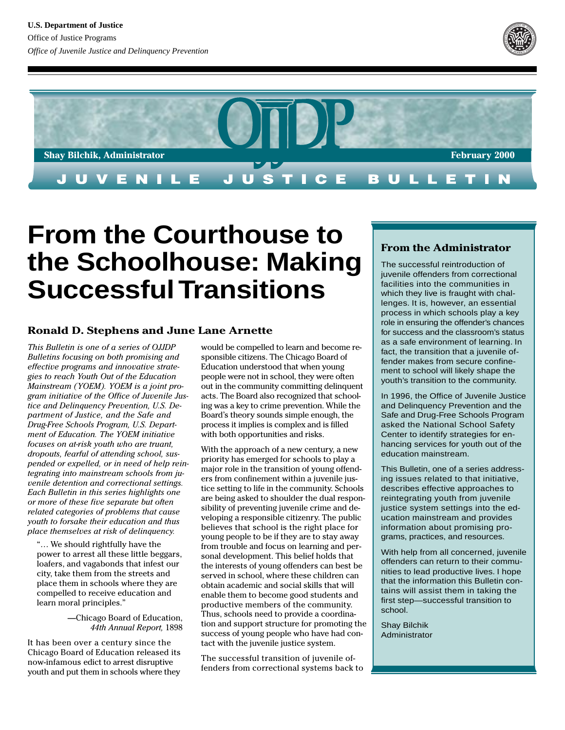



# **From the Courthouse to the Schoolhouse: Making Successful Transitions**

#### **Ronald D. Stephens and June Lane Arnette**

*This Bulletin is one of a series of OJJDP Bulletins focusing on both promising and effective programs and innovative strategies to reach Youth Out of the Education Mainstream (YOEM). YOEM is a joint program initiative of the Office of Juvenile Justice and Delinquency Prevention, U.S. Department of Justice, and the Safe and Drug-Free Schools Program, U.S. Department of Education. The YOEM initiative focuses on at-risk youth who are truant, dropouts, fearful of attending school, suspended or expelled, or in need of help reintegrating into mainstream schools from juvenile detention and correctional settings. Each Bulletin in this series highlights one or more of these five separate but often related categories of problems that cause youth to forsake their education and thus place themselves at risk of delinquency.*

"… We should rightfully have the power to arrest all these little beggars, loafers, and vagabonds that infest our city, take them from the streets and place them in schools where they are compelled to receive education and learn moral principles."

> —Chicago Board of Education, *44th Annual Report,* 1898

It has been over a century since the Chicago Board of Education released its now-infamous edict to arrest disruptive youth and put them in schools where they

would be compelled to learn and become responsible citizens. The Chicago Board of Education understood that when young people were not in school, they were often out in the community committing delinquent acts. The Board also recognized that schooling was a key to crime prevention. While the Board's theory sounds simple enough, the process it implies is complex and is filled with both opportunities and risks.

With the approach of a new century, a new priority has emerged for schools to play a major role in the transition of young offenders from confinement within a juvenile justice setting to life in the community. Schools are being asked to shoulder the dual responsibility of preventing juvenile crime and developing a responsible citizenry. The public believes that school is the right place for young people to be if they are to stay away from trouble and focus on learning and personal development. This belief holds that the interests of young offenders can best be served in school, where these children can obtain academic and social skills that will enable them to become good students and productive members of the community. Thus, schools need to provide a coordination and support structure for promoting the success of young people who have had contact with the juvenile justice system.

The successful transition of juvenile offenders from correctional systems back to

#### **From the Administrator**

The successful reintroduction of juvenile offenders from correctional facilities into the communities in which they live is fraught with challenges. It is, however, an essential process in which schools play a key role in ensuring the offender's chances for success and the classroom's status as a safe environment of learning. In fact, the transition that a juvenile offender makes from secure confinement to school will likely shape the youth's transition to the community.

In 1996, the Office of Juvenile Justice and Delinquency Prevention and the Safe and Drug-Free Schools Program asked the National School Safety Center to identify strategies for enhancing services for youth out of the education mainstream.

This Bulletin, one of a series addressing issues related to that initiative, describes effective approaches to reintegrating youth from juvenile justice system settings into the education mainstream and provides information about promising programs, practices, and resources.

With help from all concerned, juvenile offenders can return to their communities to lead productive lives. I hope that the information this Bulletin contains will assist them in taking the first step—successful transition to school.

Shay Bilchik Administrator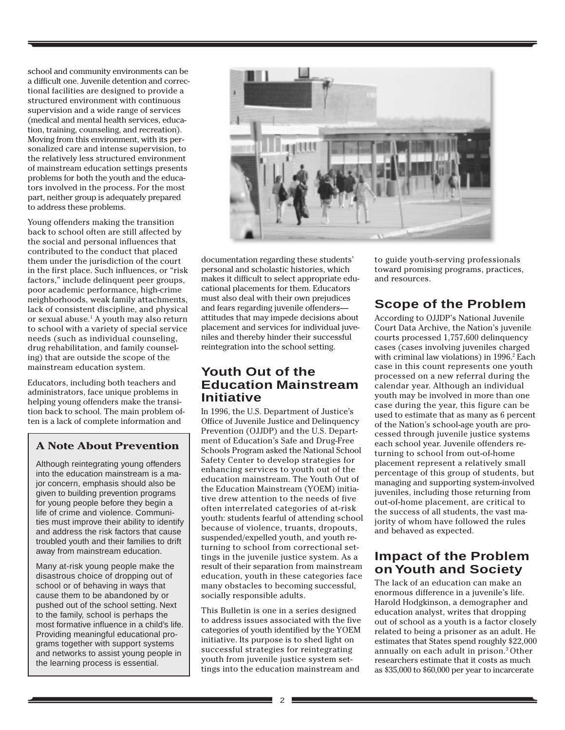school and community environments can be a difficult one. Juvenile detention and correctional facilities are designed to provide a structured environment with continuous supervision and a wide range of services (medical and mental health services, education, training, counseling, and recreation). Moving from this environment, with its personalized care and intense supervision, to the relatively less structured environment of mainstream education settings presents problems for both the youth and the educators involved in the process. For the most part, neither group is adequately prepared to address these problems.

Young offenders making the transition back to school often are still affected by the social and personal influences that contributed to the conduct that placed them under the jurisdiction of the court in the first place. Such influences, or "risk factors," include delinquent peer groups, poor academic performance, high-crime neighborhoods, weak family attachments, lack of consistent discipline, and physical or sexual abuse.<sup>1</sup> A youth may also return to school with a variety of special service needs (such as individual counseling, drug rehabilitation, and family counseling) that are outside the scope of the mainstream education system.

Educators, including both teachers and administrators, face unique problems in helping young offenders make the transition back to school. The main problem often is a lack of complete information and

# **A Note About Prevention**

Although reintegrating young offenders into the education mainstream is a major concern, emphasis should also be given to building prevention programs for young people before they begin a life of crime and violence. Communities must improve their ability to identify and address the risk factors that cause troubled youth and their families to drift away from mainstream education.

Many at-risk young people make the disastrous choice of dropping out of school or of behaving in ways that cause them to be abandoned by or pushed out of the school setting. Next to the family, school is perhaps the most formative influence in a child's life. Providing meaningful educational programs together with support systems and networks to assist young people in the learning process is essential.



documentation regarding these students' personal and scholastic histories, which makes it difficult to select appropriate educational placements for them. Educators must also deal with their own prejudices and fears regarding juvenile offenders attitudes that may impede decisions about placement and services for individual juveniles and thereby hinder their successful reintegration into the school setting.

# **Youth Out of the Education Mainstream Initiative**

In 1996, the U.S. Department of Justice's Office of Juvenile Justice and Delinquency Prevention (OJJDP) and the U.S. Department of Education's Safe and Drug-Free Schools Program asked the National School Safety Center to develop strategies for enhancing services to youth out of the education mainstream. The Youth Out of the Education Mainstream (YOEM) initiative drew attention to the needs of five often interrelated categories of at-risk youth: students fearful of attending school because of violence, truants, dropouts, suspended/expelled youth, and youth returning to school from correctional settings in the juvenile justice system. As a result of their separation from mainstream education, youth in these categories face many obstacles to becoming successful, socially responsible adults.

This Bulletin is one in a series designed to address issues associated with the five categories of youth identified by the YOEM initiative. Its purpose is to shed light on successful strategies for reintegrating youth from juvenile justice system settings into the education mainstream and

to guide youth-serving professionals toward promising programs, practices, and resources.

# **Scope of the Problem**

According to OJJDP's National Juvenile Court Data Archive, the Nation's juvenile courts processed 1,757,600 delinquency cases (cases involving juveniles charged with criminal law violations) in 1996.<sup>2</sup> Each case in this count represents one youth processed on a new referral during the calendar year. Although an individual youth may be involved in more than one case during the year, this figure can be used to estimate that as many as 6 percent of the Nation's school-age youth are processed through juvenile justice systems each school year. Juvenile offenders returning to school from out-of-home placement represent a relatively small percentage of this group of students, but managing and supporting system-involved juveniles, including those returning from out-of-home placement, are critical to the success of all students, the vast majority of whom have followed the rules and behaved as expected.

# **Impact of the Problem on Youth and Society**

The lack of an education can make an enormous difference in a juvenile's life. Harold Hodgkinson, a demographer and education analyst, writes that dropping out of school as a youth is a factor closely related to being a prisoner as an adult. He estimates that States spend roughly \$22,000 annually on each adult in prison.3 Other researchers estimate that it costs as much as \$35,000 to \$60,000 per year to incarcerate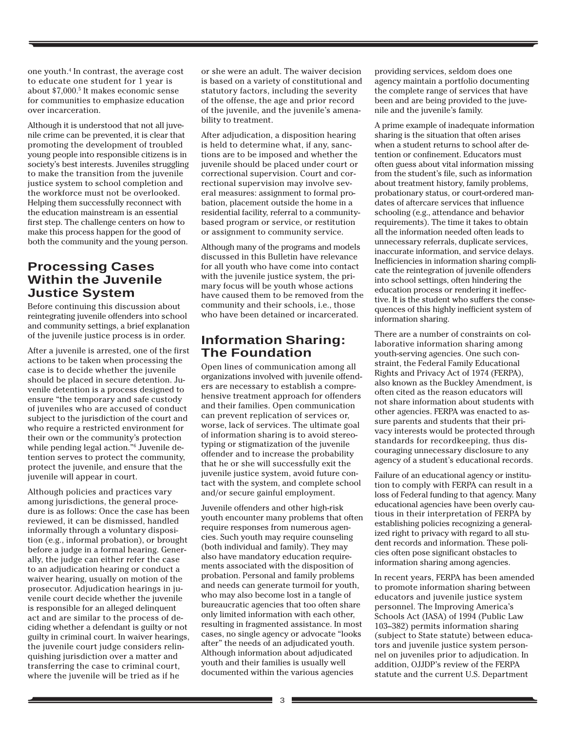one youth.4 In contrast, the average cost to educate one student for 1 year is about \$7,000.5 It makes economic sense for communities to emphasize education over incarceration.

Although it is understood that not all juvenile crime can be prevented, it is clear that promoting the development of troubled young people into responsible citizens is in society's best interests. Juveniles struggling to make the transition from the juvenile justice system to school completion and the workforce must not be overlooked. Helping them successfully reconnect with the education mainstream is an essential first step. The challenge centers on how to make this process happen for the good of both the community and the young person.

### **Processing Cases Within the Juvenile Justice System**

Before continuing this discussion about reintegrating juvenile offenders into school and community settings, a brief explanation of the juvenile justice process is in order.

After a juvenile is arrested, one of the first actions to be taken when processing the case is to decide whether the juvenile should be placed in secure detention. Juvenile detention is a process designed to ensure "the temporary and safe custody of juveniles who are accused of conduct subject to the jurisdiction of the court and who require a restricted environment for their own or the community's protection while pending legal action."6 Juvenile detention serves to protect the community, protect the juvenile, and ensure that the juvenile will appear in court.

Although policies and practices vary among jurisdictions, the general procedure is as follows: Once the case has been reviewed, it can be dismissed, handled informally through a voluntary disposition (e.g., informal probation), or brought before a judge in a formal hearing. Generally, the judge can either refer the case to an adjudication hearing or conduct a waiver hearing, usually on motion of the prosecutor. Adjudication hearings in juvenile court decide whether the juvenile is responsible for an alleged delinquent act and are similar to the process of deciding whether a defendant is guilty or not guilty in criminal court. In waiver hearings, the juvenile court judge considers relinquishing jurisdiction over a matter and transferring the case to criminal court, where the juvenile will be tried as if he

or she were an adult. The waiver decision is based on a variety of constitutional and statutory factors, including the severity of the offense, the age and prior record of the juvenile, and the juvenile's amenability to treatment.

After adjudication, a disposition hearing is held to determine what, if any, sanctions are to be imposed and whether the juvenile should be placed under court or correctional supervision. Court and correctional supervision may involve several measures: assignment to formal probation, placement outside the home in a residential facility, referral to a communitybased program or service, or restitution or assignment to community service.

Although many of the programs and models discussed in this Bulletin have relevance for all youth who have come into contact with the juvenile justice system, the primary focus will be youth whose actions have caused them to be removed from the community and their schools, i.e., those who have been detained or incarcerated.

# **Information Sharing: The Foundation**

Open lines of communication among all organizations involved with juvenile offenders are necessary to establish a comprehensive treatment approach for offenders and their families. Open communication can prevent replication of services or, worse, lack of services. The ultimate goal of information sharing is to avoid stereotyping or stigmatization of the juvenile offender and to increase the probability that he or she will successfully exit the juvenile justice system, avoid future contact with the system, and complete school and/or secure gainful employment.

Juvenile offenders and other high-risk youth encounter many problems that often require responses from numerous agencies. Such youth may require counseling (both individual and family). They may also have mandatory education requirements associated with the disposition of probation. Personal and family problems and needs can generate turmoil for youth, who may also become lost in a tangle of bureaucratic agencies that too often share only limited information with each other, resulting in fragmented assistance. In most cases, no single agency or advocate "looks after" the needs of an adjudicated youth. Although information about adjudicated youth and their families is usually well documented within the various agencies

providing services, seldom does one agency maintain a portfolio documenting the complete range of services that have been and are being provided to the juvenile and the juvenile's family.

A prime example of inadequate information sharing is the situation that often arises when a student returns to school after detention or confinement. Educators must often guess about vital information missing from the student's file, such as information about treatment history, family problems, probationary status, or court-ordered mandates of aftercare services that influence schooling (e.g., attendance and behavior requirements). The time it takes to obtain all the information needed often leads to unnecessary referrals, duplicate services, inaccurate information, and service delays. Inefficiencies in information sharing complicate the reintegration of juvenile offenders into school settings, often hindering the education process or rendering it ineffective. It is the student who suffers the consequences of this highly inefficient system of information sharing.

There are a number of constraints on collaborative information sharing among youth-serving agencies. One such constraint, the Federal Family Educational Rights and Privacy Act of 1974 (FERPA), also known as the Buckley Amendment, is often cited as the reason educators will not share information about students with other agencies. FERPA was enacted to assure parents and students that their privacy interests would be protected through standards for recordkeeping, thus discouraging unnecessary disclosure to any agency of a student's educational records.

Failure of an educational agency or institution to comply with FERPA can result in a loss of Federal funding to that agency. Many educational agencies have been overly cautious in their interpretation of FERPA by establishing policies recognizing a generalized right to privacy with regard to all student records and information. These policies often pose significant obstacles to information sharing among agencies.

In recent years, FERPA has been amended to promote information sharing between educators and juvenile justice system personnel. The Improving America's Schools Act (IASA) of 1994 (Public Law 103–382) permits information sharing (subject to State statute) between educators and juvenile justice system personnel on juveniles prior to adjudication. In addition, OJJDP's review of the FERPA statute and the current U.S. Department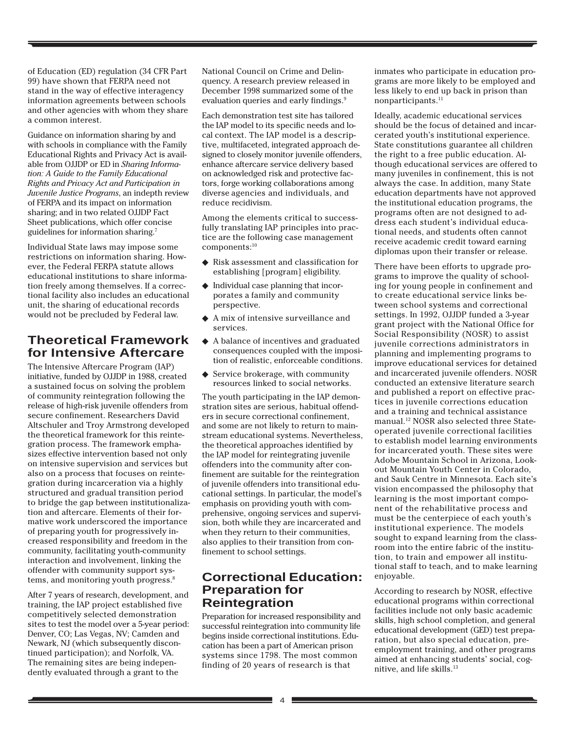of Education (ED) regulation (34 CFR Part 99) have shown that FERPA need not stand in the way of effective interagency information agreements between schools and other agencies with whom they share a common interest.

Guidance on information sharing by and with schools in compliance with the Family Educational Rights and Privacy Act is available from OJJDP or ED in *Sharing Information: A Guide to the Family Educational Rights and Privacy Act and Participation in Juvenile Justice Programs*, an indepth review of FERPA and its impact on information sharing; and in two related OJJDP Fact Sheet publications, which offer concise guidelines for information sharing.7

Individual State laws may impose some restrictions on information sharing. However, the Federal FERPA statute allows educational institutions to share information freely among themselves. If a correctional facility also includes an educational unit, the sharing of educational records would not be precluded by Federal law.

# **Theoretical Framework for Intensive Aftercare**

The Intensive Aftercare Program (IAP) initiative, funded by OJJDP in 1988, created a sustained focus on solving the problem of community reintegration following the release of high-risk juvenile offenders from secure confinement. Researchers David Altschuler and Troy Armstrong developed the theoretical framework for this reintegration process. The framework emphasizes effective intervention based not only on intensive supervision and services but also on a process that focuses on reintegration during incarceration via a highly structured and gradual transition period to bridge the gap between institutionalization and aftercare. Elements of their formative work underscored the importance of preparing youth for progressively increased responsibility and freedom in the community, facilitating youth-community interaction and involvement, linking the offender with community support systems, and monitoring youth progress.<sup>8</sup>

After 7 years of research, development, and training, the IAP project established five competitively selected demonstration sites to test the model over a 5-year period: Denver, CO; Las Vegas, NV; Camden and Newark, NJ (which subsequently discontinued participation); and Norfolk, VA. The remaining sites are being independently evaluated through a grant to the

National Council on Crime and Delinquency. A research preview released in December 1998 summarized some of the evaluation queries and early findings.9

Each demonstration test site has tailored the IAP model to its specific needs and local context. The IAP model is a descriptive, multifaceted, integrated approach designed to closely monitor juvenile offenders, enhance aftercare service delivery based on acknowledged risk and protective factors, forge working collaborations among diverse agencies and individuals, and reduce recidivism.

Among the elements critical to successfully translating IAP principles into practice are the following case management components:10

- ◆ Risk assessment and classification for establishing [program] eligibility.
- ◆ Individual case planning that incorporates a family and community perspective.
- ◆ A mix of intensive surveillance and services.
- ◆ A balance of incentives and graduated consequences coupled with the imposition of realistic, enforceable conditions.
- ◆ Service brokerage, with community resources linked to social networks.

The youth participating in the IAP demonstration sites are serious, habitual offenders in secure correctional confinement, and some are not likely to return to mainstream educational systems. Nevertheless, the theoretical approaches identified by the IAP model for reintegrating juvenile offenders into the community after confinement are suitable for the reintegration of juvenile offenders into transitional educational settings. In particular, the model's emphasis on providing youth with comprehensive, ongoing services and supervision, both while they are incarcerated and when they return to their communities, also applies to their transition from confinement to school settings.

# **Correctional Education: Preparation for Reintegration**

Preparation for increased responsibility and successful reintegration into community life begins inside correctional institutions. Education has been a part of American prison systems since 1798. The most common finding of 20 years of research is that

inmates who participate in education programs are more likely to be employed and less likely to end up back in prison than nonparticipants.<sup>11</sup>

Ideally, academic educational services should be the focus of detained and incarcerated youth's institutional experience. State constitutions guarantee all children the right to a free public education. Although educational services are offered to many juveniles in confinement, this is not always the case. In addition, many State education departments have not approved the institutional education programs, the programs often are not designed to address each student's individual educational needs, and students often cannot receive academic credit toward earning diplomas upon their transfer or release.

There have been efforts to upgrade programs to improve the quality of schooling for young people in confinement and to create educational service links between school systems and correctional settings. In 1992, OJJDP funded a 3-year grant project with the National Office for Social Responsibility (NOSR) to assist juvenile corrections administrators in planning and implementing programs to improve educational services for detained and incarcerated juvenile offenders. NOSR conducted an extensive literature search and published a report on effective practices in juvenile corrections education and a training and technical assistance manual.12 NOSR also selected three Stateoperated juvenile correctional facilities to establish model learning environments for incarcerated youth. These sites were Adobe Mountain School in Arizona, Lookout Mountain Youth Center in Colorado, and Sauk Centre in Minnesota. Each site's vision encompassed the philosophy that learning is the most important component of the rehabilitative process and must be the centerpiece of each youth's institutional experience. The models sought to expand learning from the classroom into the entire fabric of the institution, to train and empower all institutional staff to teach, and to make learning enjoyable.

According to research by NOSR, effective educational programs within correctional facilities include not only basic academic skills, high school completion, and general educational development (GED) test preparation, but also special education, preemployment training, and other programs aimed at enhancing students' social, cognitive, and life skills.<sup>13</sup>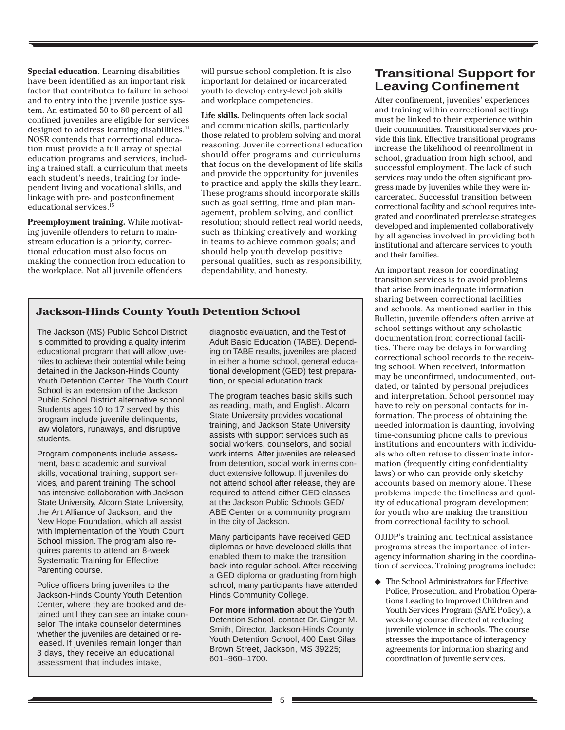**Special education.** Learning disabilities have been identified as an important risk factor that contributes to failure in school and to entry into the juvenile justice system. An estimated 50 to 80 percent of all confined juveniles are eligible for services designed to address learning disabilities.<sup>14</sup> NOSR contends that correctional education must provide a full array of special education programs and services, including a trained staff, a curriculum that meets each student's needs, training for independent living and vocational skills, and linkage with pre- and postconfinement educational services.<sup>15</sup>

**Preemployment training.** While motivating juvenile offenders to return to mainstream education is a priority, correctional education must also focus on making the connection from education to the workplace. Not all juvenile offenders

will pursue school completion. It is also important for detained or incarcerated youth to develop entry-level job skills and workplace competencies.

**Life skills.** Delinquents often lack social and communication skills, particularly those related to problem solving and moral reasoning. Juvenile correctional education should offer programs and curriculums that focus on the development of life skills and provide the opportunity for juveniles to practice and apply the skills they learn. These programs should incorporate skills such as goal setting, time and plan management, problem solving, and conflict resolution; should reflect real world needs, such as thinking creatively and working in teams to achieve common goals; and should help youth develop positive personal qualities, such as responsibility, dependability, and honesty.

#### **Jackson-Hinds County Youth Detention School**

The Jackson (MS) Public School District is committed to providing a quality interim educational program that will allow juveniles to achieve their potential while being detained in the Jackson-Hinds County Youth Detention Center. The Youth Court School is an extension of the Jackson Public School District alternative school. Students ages 10 to 17 served by this program include juvenile delinquents, law violators, runaways, and disruptive students.

Program components include assessment, basic academic and survival skills, vocational training, support services, and parent training. The school has intensive collaboration with Jackson State University, Alcorn State University, the Art Alliance of Jackson, and the New Hope Foundation, which all assist with implementation of the Youth Court School mission. The program also requires parents to attend an 8-week Systematic Training for Effective Parenting course.

Police officers bring juveniles to the Jackson-Hinds County Youth Detention Center, where they are booked and detained until they can see an intake counselor. The intake counselor determines whether the juveniles are detained or released. If juveniles remain longer than 3 days, they receive an educational assessment that includes intake,

diagnostic evaluation, and the Test of Adult Basic Education (TABE). Depending on TABE results, juveniles are placed in either a home school, general educational development (GED) test preparation, or special education track.

The program teaches basic skills such as reading, math, and English. Alcorn State University provides vocational training, and Jackson State University assists with support services such as social workers, counselors, and social work interns. After juveniles are released from detention, social work interns conduct extensive followup. If juveniles do not attend school after release, they are required to attend either GED classes at the Jackson Public Schools GED/ ABE Center or a community program in the city of Jackson.

Many participants have received GED diplomas or have developed skills that enabled them to make the transition back into regular school. After receiving a GED diploma or graduating from high school, many participants have attended Hinds Community College.

**For more information** about the Youth Detention School, contact Dr. Ginger M. Smith, Director, Jackson-Hinds County Youth Detention School, 400 East Silas Brown Street, Jackson, MS 39225; 601–960–1700.

# **Transitional Support for Leaving Confinement**

After confinement, juveniles' experiences and training within correctional settings must be linked to their experience within their communities. Transitional services provide this link. Effective transitional programs increase the likelihood of reenrollment in school, graduation from high school, and successful employment. The lack of such services may undo the often significant progress made by juveniles while they were incarcerated. Successful transition between correctional facility and school requires integrated and coordinated prerelease strategies developed and implemented collaboratively by all agencies involved in providing both institutional and aftercare services to youth and their families.

An important reason for coordinating transition services is to avoid problems that arise from inadequate information sharing between correctional facilities and schools. As mentioned earlier in this Bulletin, juvenile offenders often arrive at school settings without any scholastic documentation from correctional facilities. There may be delays in forwarding correctional school records to the receiving school. When received, information may be unconfirmed, undocumented, outdated, or tainted by personal prejudices and interpretation. School personnel may have to rely on personal contacts for information. The process of obtaining the needed information is daunting, involving time-consuming phone calls to previous institutions and encounters with individuals who often refuse to disseminate information (frequently citing confidentiality laws) or who can provide only sketchy accounts based on memory alone. These problems impede the timeliness and quality of educational program development for youth who are making the transition from correctional facility to school.

OJJDP's training and technical assistance programs stress the importance of interagency information sharing in the coordination of services. Training programs include:

The School Administrators for Effective Police, Prosecution, and Probation Operations Leading to Improved Children and Youth Services Program (SAFE Policy), a week-long course directed at reducing juvenile violence in schools. The course stresses the importance of interagency agreements for information sharing and coordination of juvenile services.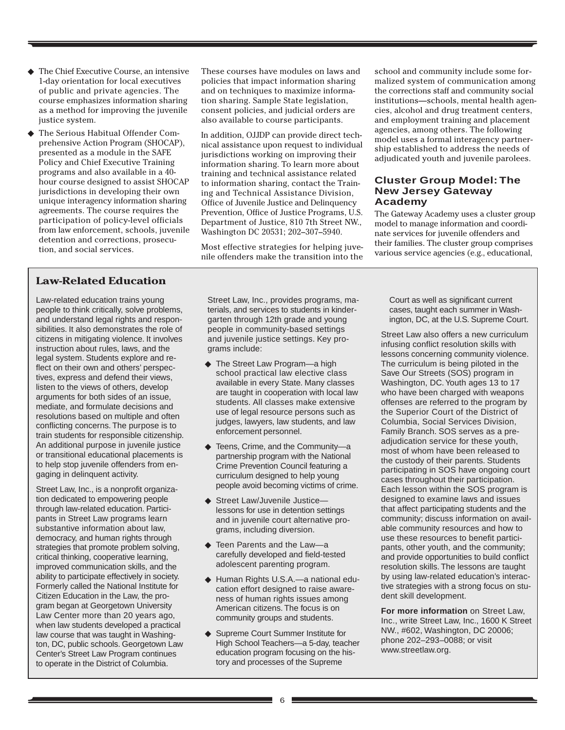- ◆ The Chief Executive Course, an intensive 1-day orientation for local executives of public and private agencies. The course emphasizes information sharing as a method for improving the juvenile justice system.
- The Serious Habitual Offender Comprehensive Action Program (SHOCAP), presented as a module in the SAFE Policy and Chief Executive Training programs and also available in a 40 hour course designed to assist SHOCAP jurisdictions in developing their own unique interagency information sharing agreements. The course requires the participation of policy-level officials from law enforcement, schools, juvenile detention and corrections, prosecution, and social services.

#### **Law-Related Education**

Law-related education trains young people to think critically, solve problems, and understand legal rights and responsibilities. It also demonstrates the role of citizens in mitigating violence. It involves instruction about rules, laws, and the legal system. Students explore and reflect on their own and others' perspectives, express and defend their views, listen to the views of others, develop arguments for both sides of an issue, mediate, and formulate decisions and resolutions based on multiple and often conflicting concerns. The purpose is to train students for responsible citizenship. An additional purpose in juvenile justice or transitional educational placements is to help stop juvenile offenders from engaging in delinquent activity.

Street Law, Inc., is a nonprofit organization dedicated to empowering people through law-related education. Participants in Street Law programs learn substantive information about law, democracy, and human rights through strategies that promote problem solving, critical thinking, cooperative learning, improved communication skills, and the ability to participate effectively in society. Formerly called the National Institute for Citizen Education in the Law, the program began at Georgetown University Law Center more than 20 years ago, when law students developed a practical law course that was taught in Washington, DC, public schools. Georgetown Law Center's Street Law Program continues to operate in the District of Columbia.

These courses have modules on laws and policies that impact information sharing and on techniques to maximize information sharing. Sample State legislation, consent policies, and judicial orders are also available to course participants.

In addition, OJJDP can provide direct technical assistance upon request to individual jurisdictions working on improving their information sharing. To learn more about training and technical assistance related to information sharing, contact the Training and Technical Assistance Division, Office of Juvenile Justice and Delinquency Prevention, Office of Justice Programs, U.S. Department of Justice, 810 7th Street NW., Washington DC 20531; 202–307–5940.

Most effective strategies for helping juvenile offenders make the transition into the

Street Law, Inc., provides programs, materials, and services to students in kindergarten through 12th grade and young people in community-based settings and juvenile justice settings. Key programs include:

- ◆ The Street Law Program—a high school practical law elective class available in every State. Many classes are taught in cooperation with local law students. All classes make extensive use of legal resource persons such as judges, lawyers, law students, and law enforcement personnel.
- ◆ Teens, Crime, and the Community—a partnership program with the National Crime Prevention Council featuring a curriculum designed to help young people avoid becoming victims of crime.
- ◆ Street Law/Juvenile Justice lessons for use in detention settings and in juvenile court alternative programs, including diversion.
- ◆ Teen Parents and the Law—a carefully developed and field-tested adolescent parenting program.
- ◆ Human Rights U.S.A.—a national education effort designed to raise awareness of human rights issues among American citizens. The focus is on community groups and students.
- ◆ Supreme Court Summer Institute for High School Teachers—a 5-day, teacher education program focusing on the history and processes of the Supreme

school and community include some formalized system of communication among the corrections staff and community social institutions—schools, mental health agencies, alcohol and drug treatment centers, and employment training and placement agencies, among others. The following model uses a formal interagency partnership established to address the needs of adjudicated youth and juvenile parolees.

#### **Cluster Group Model: The New Jersey Gateway Academy**

The Gateway Academy uses a cluster group model to manage information and coordinate services for juvenile offenders and their families. The cluster group comprises various service agencies (e.g., educational,

Court as well as significant current cases, taught each summer in Washington, DC, at the U.S. Supreme Court.

Street Law also offers a new curriculum infusing conflict resolution skills with lessons concerning community violence. The curriculum is being piloted in the Save Our Streets (SOS) program in Washington, DC. Youth ages 13 to 17 who have been charged with weapons offenses are referred to the program by the Superior Court of the District of Columbia, Social Services Division, Family Branch. SOS serves as a preadjudication service for these youth, most of whom have been released to the custody of their parents. Students participating in SOS have ongoing court cases throughout their participation. Each lesson within the SOS program is designed to examine laws and issues that affect participating students and the community; discuss information on available community resources and how to use these resources to benefit participants, other youth, and the community; and provide opportunities to build conflict resolution skills. The lessons are taught by using law-related education's interactive strategies with a strong focus on student skill development.

**For more information** on Street Law, Inc., write Street Law, Inc., 1600 K Street NW., #602, Washington, DC 20006; phone 202–293–0088; or visit www.streetlaw.org.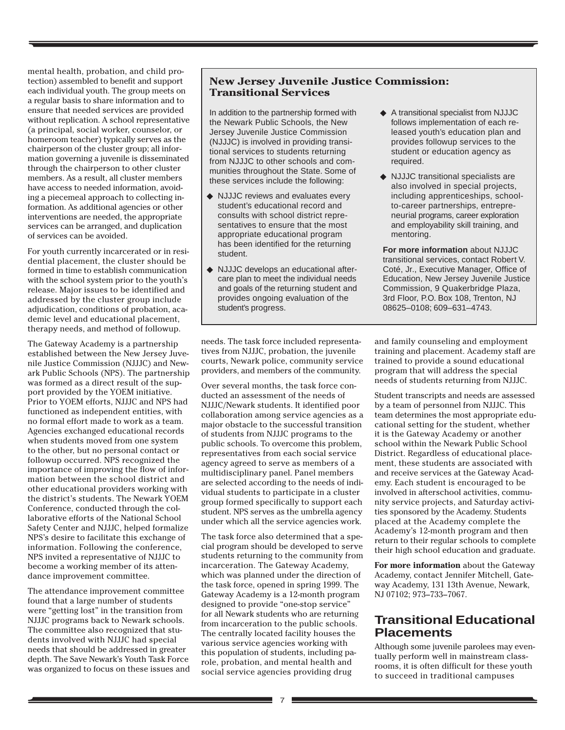mental health, probation, and child protection) assembled to benefit and support each individual youth. The group meets on a regular basis to share information and to ensure that needed services are provided without replication. A school representative (a principal, social worker, counselor, or homeroom teacher) typically serves as the chairperson of the cluster group; all information governing a juvenile is disseminated through the chairperson to other cluster members. As a result, all cluster members have access to needed information, avoiding a piecemeal approach to collecting information. As additional agencies or other interventions are needed, the appropriate services can be arranged, and duplication of services can be avoided.

For youth currently incarcerated or in residential placement, the cluster should be formed in time to establish communication with the school system prior to the youth's release. Major issues to be identified and addressed by the cluster group include adjudication, conditions of probation, academic level and educational placement, therapy needs, and method of followup.

The Gateway Academy is a partnership established between the New Jersey Juvenile Justice Commission (NJJJC) and Newark Public Schools (NPS). The partnership was formed as a direct result of the support provided by the YOEM initiative. Prior to YOEM efforts, NJJJC and NPS had functioned as independent entities, with no formal effort made to work as a team. Agencies exchanged educational records when students moved from one system to the other, but no personal contact or followup occurred. NPS recognized the importance of improving the flow of information between the school district and other educational providers working with the district's students. The Newark YOEM Conference, conducted through the collaborative efforts of the National School Safety Center and NJJJC, helped formalize NPS's desire to facilitate this exchange of information. Following the conference, NPS invited a representative of NJJJC to become a working member of its attendance improvement committee.

The attendance improvement committee found that a large number of students were "getting lost" in the transition from NJJJC programs back to Newark schools. The committee also recognized that students involved with NJJJC had special needs that should be addressed in greater depth. The Save Newark's Youth Task Force was organized to focus on these issues and

#### **New Jersey Juvenile Justice Commission: Transitional Services**

In addition to the partnership formed with the Newark Public Schools, the New Jersey Juvenile Justice Commission (NJJJC) is involved in providing transitional services to students returning from NJJJC to other schools and communities throughout the State. Some of these services include the following:

- ◆ NJJJC reviews and evaluates every student's educational record and consults with school district representatives to ensure that the most appropriate educational program has been identified for the returning student.
- ◆ NJJJC develops an educational aftercare plan to meet the individual needs and goals of the returning student and provides ongoing evaluation of the student's progress.

needs. The task force included representatives from NJJJC, probation, the juvenile courts, Newark police, community service providers, and members of the community.

Over several months, the task force conducted an assessment of the needs of NJJJC/Newark students. It identified poor collaboration among service agencies as a major obstacle to the successful transition of students from NJJJC programs to the public schools. To overcome this problem, representatives from each social service agency agreed to serve as members of a multidisciplinary panel. Panel members are selected according to the needs of individual students to participate in a cluster group formed specifically to support each student. NPS serves as the umbrella agency under which all the service agencies work.

The task force also determined that a special program should be developed to serve students returning to the community from incarceration. The Gateway Academy, which was planned under the direction of the task force, opened in spring 1999. The Gateway Academy is a 12-month program designed to provide "one-stop service" for all Newark students who are returning from incarceration to the public schools. The centrally located facility houses the various service agencies working with this population of students, including parole, probation, and mental health and social service agencies providing drug

- ◆ A transitional specialist from NJJJC follows implementation of each released youth's education plan and provides followup services to the student or education agency as required.
- ◆ NJJJC transitional specialists are also involved in special projects, including apprenticeships, schoolto-career partnerships, entrepreneurial programs, career exploration and employability skill training, and mentoring.

**For more information** about NJJJC transitional services, contact Robert V. Coté, Jr., Executive Manager, Office of Education, New Jersey Juvenile Justice Commission, 9 Quakerbridge Plaza, 3rd Floor, P.O. Box 108, Trenton, NJ 08625–0108; 609–631–4743.

and family counseling and employment training and placement. Academy staff are trained to provide a sound educational program that will address the special needs of students returning from NJJJC.

Student transcripts and needs are assessed by a team of personnel from NJJJC. This team determines the most appropriate educational setting for the student, whether it is the Gateway Academy or another school within the Newark Public School District. Regardless of educational placement, these students are associated with and receive services at the Gateway Academy. Each student is encouraged to be involved in afterschool activities, community service projects, and Saturday activities sponsored by the Academy. Students placed at the Academy complete the Academy's 12-month program and then return to their regular schools to complete their high school education and graduate.

**For more information** about the Gateway Academy, contact Jennifer Mitchell, Gateway Academy, 131 13th Avenue, Newark, NJ 07102; 973–733–7067.

# **Transitional Educational Placements**

Although some juvenile parolees may eventually perform well in mainstream classrooms, it is often difficult for these youth to succeed in traditional campuses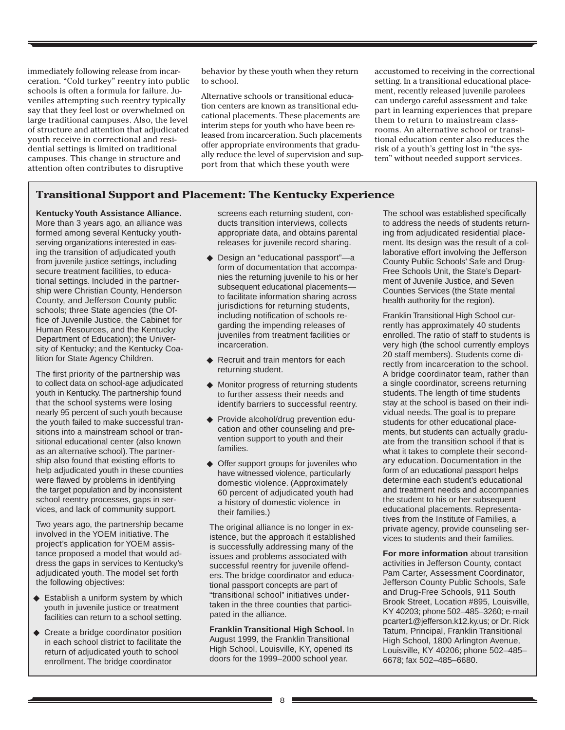immediately following release from incarceration. "Cold turkey" reentry into public schools is often a formula for failure. Juveniles attempting such reentry typically say that they feel lost or overwhelmed on large traditional campuses. Also, the level of structure and attention that adjudicated youth receive in correctional and residential settings is limited on traditional campuses. This change in structure and attention often contributes to disruptive

behavior by these youth when they return to school.

Alternative schools or transitional education centers are known as transitional educational placements. These placements are interim steps for youth who have been released from incarceration. Such placements offer appropriate environments that gradually reduce the level of supervision and support from that which these youth were

accustomed to receiving in the correctional setting. In a transitional educational placement, recently released juvenile parolees can undergo careful assessment and take part in learning experiences that prepare them to return to mainstream classrooms. An alternative school or transitional education center also reduces the risk of a youth's getting lost in "the system" without needed support services.

#### **Transitional Support and Placement: The Kentucky Experience**

**Kentucky Youth Assistance Alliance.** More than 3 years ago, an alliance was formed among several Kentucky youthserving organizations interested in easing the transition of adjudicated youth from juvenile justice settings, including secure treatment facilities, to educational settings. Included in the partnership were Christian County, Henderson County, and Jefferson County public schools; three State agencies (the Office of Juvenile Justice, the Cabinet for Human Resources, and the Kentucky Department of Education); the University of Kentucky; and the Kentucky Coalition for State Agency Children.

The first priority of the partnership was to collect data on school-age adjudicated youth in Kentucky. The partnership found that the school systems were losing nearly 95 percent of such youth because the youth failed to make successful transitions into a mainstream school or transitional educational center (also known as an alternative school). The partnership also found that existing efforts to help adjudicated youth in these counties were flawed by problems in identifying the target population and by inconsistent school reentry processes, gaps in services, and lack of community support.

Two years ago, the partnership became involved in the YOEM initiative. The project's application for YOEM assistance proposed a model that would address the gaps in services to Kentucky's adjudicated youth. The model set forth the following objectives:

- ◆ Establish a uniform system by which youth in juvenile justice or treatment facilities can return to a school setting.
- ◆ Create a bridge coordinator position in each school district to facilitate the return of adjudicated youth to school enrollment. The bridge coordinator

screens each returning student, conducts transition interviews, collects appropriate data, and obtains parental releases for juvenile record sharing.

- ◆ Design an "educational passport"—a form of documentation that accompanies the returning juvenile to his or her subsequent educational placements to facilitate information sharing across jurisdictions for returning students, including notification of schools regarding the impending releases of juveniles from treatment facilities or incarceration.
- ◆ Recruit and train mentors for each returning student.
- ◆ Monitor progress of returning students to further assess their needs and identify barriers to successful reentry.
- ◆ Provide alcohol/drug prevention education and other counseling and prevention support to youth and their families.
- ◆ Offer support groups for juveniles who have witnessed violence, particularly domestic violence. (Approximately 60 percent of adjudicated youth had a history of domestic violence in their families.)

The original alliance is no longer in existence, but the approach it established is successfully addressing many of the issues and problems associated with successful reentry for juvenile offenders. The bridge coordinator and educational passport concepts are part of "transitional school" initiatives undertaken in the three counties that participated in the alliance.

**Franklin Transitional High School.** In August 1999, the Franklin Transitional High School, Louisville, KY, opened its doors for the 1999–2000 school year.

The school was established specifically to address the needs of students returning from adjudicated residential placement. Its design was the result of a collaborative effort involving the Jefferson County Public Schools' Safe and Drug-Free Schools Unit, the State's Department of Juvenile Justice, and Seven Counties Services (the State mental health authority for the region).

Franklin Transitional High School currently has approximately 40 students enrolled. The ratio of staff to students is very high (the school currently employs 20 staff members). Students come directly from incarceration to the school. A bridge coordinator team, rather than a single coordinator, screens returning students. The length of time students stay at the school is based on their individual needs. The goal is to prepare students for other educational placements, but students can actually graduate from the transition school if that is what it takes to complete their secondary education. Documentation in the form of an educational passport helps determine each student's educational and treatment needs and accompanies the student to his or her subsequent educational placements. Representatives from the Institute of Families, a private agency, provide counseling services to students and their families.

**For more information** about transition activities in Jefferson County, contact Pam Carter, Assessment Coordinator, Jefferson County Public Schools, Safe and Drug-Free Schools, 911 South Brook Street, Location #895, Louisville, KY 40203; phone 502–485–3260; e-mail pcarter1@jefferson.k12.ky.us; or Dr. Rick Tatum, Principal, Franklin Transitional High School, 1800 Arlington Avenue, Louisville, KY 40206; phone 502–485– 6678; fax 502–485–6680.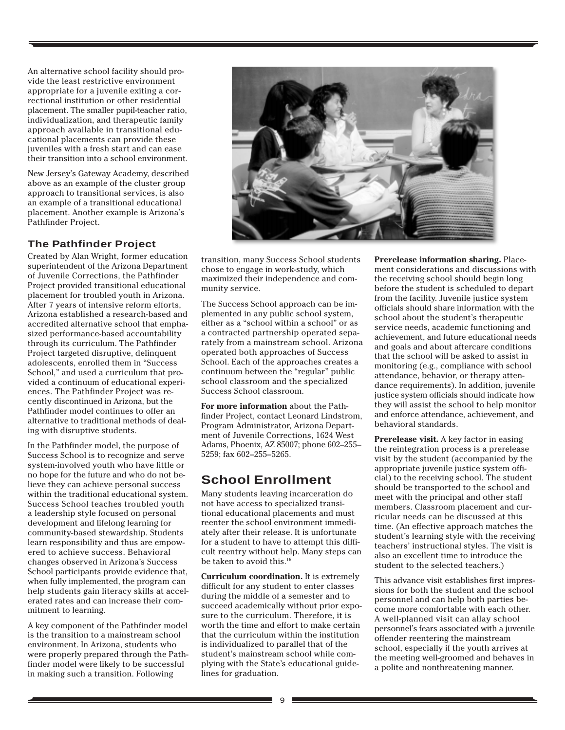An alternative school facility should provide the least restrictive environment appropriate for a juvenile exiting a correctional institution or other residential placement. The smaller pupil-teacher ratio, individualization, and therapeutic family approach available in transitional educational placements can provide these juveniles with a fresh start and can ease their transition into a school environment.

New Jersey's Gateway Academy, described above as an example of the cluster group approach to transitional services, is also an example of a transitional educational placement. Another example is Arizona's Pathfinder Project.

#### **The Pathfinder Project**

Created by Alan Wright, former education superintendent of the Arizona Department of Juvenile Corrections, the Pathfinder Project provided transitional educational placement for troubled youth in Arizona. After 7 years of intensive reform efforts, Arizona established a research-based and accredited alternative school that emphasized performance-based accountability through its curriculum. The Pathfinder Project targeted disruptive, delinquent adolescents, enrolled them in "Success School," and used a curriculum that provided a continuum of educational experiences. The Pathfinder Project was recently discontinued in Arizona, but the Pathfinder model continues to offer an alternative to traditional methods of dealing with disruptive students.

In the Pathfinder model, the purpose of Success School is to recognize and serve system-involved youth who have little or no hope for the future and who do not believe they can achieve personal success within the traditional educational system. Success School teaches troubled youth a leadership style focused on personal development and lifelong learning for community-based stewardship. Students learn responsibility and thus are empowered to achieve success. Behavioral changes observed in Arizona's Success School participants provide evidence that, when fully implemented, the program can help students gain literacy skills at accelerated rates and can increase their commitment to learning.

A key component of the Pathfinder model is the transition to a mainstream school environment. In Arizona, students who were properly prepared through the Pathfinder model were likely to be successful in making such a transition. Following



transition, many Success School students chose to engage in work-study, which maximized their independence and community service.

The Success School approach can be implemented in any public school system, either as a "school within a school" or as a contracted partnership operated separately from a mainstream school. Arizona operated both approaches of Success School. Each of the approaches creates a continuum between the "regular" public school classroom and the specialized Success School classroom.

**For more information** about the Pathfinder Project, contact Leonard Lindstrom, Program Administrator, Arizona Department of Juvenile Corrections, 1624 West Adams, Phoenix, AZ 85007; phone 602–255– 5259; fax 602–255–5265.

# **School Enrollment**

Many students leaving incarceration do not have access to specialized transitional educational placements and must reenter the school environment immediately after their release. It is unfortunate for a student to have to attempt this difficult reentry without help. Many steps can be taken to avoid this.<sup>16</sup>

**Curriculum coordination.** It is extremely difficult for any student to enter classes during the middle of a semester and to succeed academically without prior exposure to the curriculum. Therefore, it is worth the time and effort to make certain that the curriculum within the institution is individualized to parallel that of the student's mainstream school while complying with the State's educational guidelines for graduation.

**Prerelease information sharing.** Placement considerations and discussions with the receiving school should begin long before the student is scheduled to depart from the facility. Juvenile justice system officials should share information with the school about the student's therapeutic service needs, academic functioning and achievement, and future educational needs and goals and about aftercare conditions that the school will be asked to assist in monitoring (e.g., compliance with school attendance, behavior, or therapy attendance requirements). In addition, juvenile justice system officials should indicate how they will assist the school to help monitor and enforce attendance, achievement, and behavioral standards.

**Prerelease visit.** A key factor in easing the reintegration process is a prerelease visit by the student (accompanied by the appropriate juvenile justice system official) to the receiving school. The student should be transported to the school and meet with the principal and other staff members. Classroom placement and curricular needs can be discussed at this time. (An effective approach matches the student's learning style with the receiving teachers' instructional styles. The visit is also an excellent time to introduce the student to the selected teachers.)

This advance visit establishes first impressions for both the student and the school personnel and can help both parties become more comfortable with each other. A well-planned visit can allay school personnel's fears associated with a juvenile offender reentering the mainstream school, especially if the youth arrives at the meeting well-groomed and behaves in a polite and nonthreatening manner.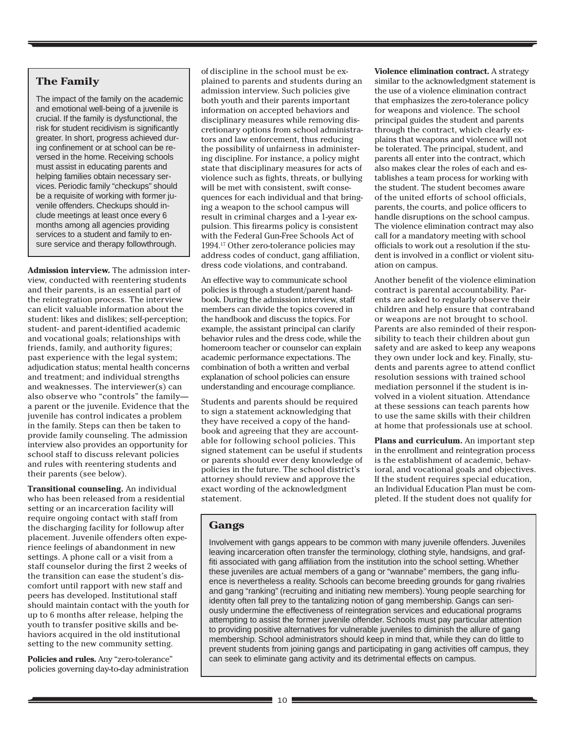#### **The Family**

The impact of the family on the academic and emotional well-being of a juvenile is crucial. If the family is dysfunctional, the risk for student recidivism is significantly greater. In short, progress achieved during confinement or at school can be reversed in the home. Receiving schools must assist in educating parents and helping families obtain necessary services. Periodic family "checkups" should be a requisite of working with former juvenile offenders. Checkups should include meetings at least once every 6 months among all agencies providing services to a student and family to ensure service and therapy followthrough.

**Admission interview.** The admission interview, conducted with reentering students and their parents, is an essential part of the reintegration process. The interview can elicit valuable information about the student: likes and dislikes; self-perception; student- and parent-identified academic and vocational goals; relationships with friends, family, and authority figures; past experience with the legal system; adjudication status; mental health concerns and treatment; and individual strengths and weaknesses. The interviewer(s) can also observe who "controls" the family a parent or the juvenile. Evidence that the juvenile has control indicates a problem in the family. Steps can then be taken to provide family counseling. The admission interview also provides an opportunity for school staff to discuss relevant policies and rules with reentering students and their parents (see below).

**Transitional counseling.** An individual who has been released from a residential setting or an incarceration facility will require ongoing contact with staff from the discharging facility for followup after placement. Juvenile offenders often experience feelings of abandonment in new settings. A phone call or a visit from a staff counselor during the first 2 weeks of the transition can ease the student's discomfort until rapport with new staff and peers has developed. Institutional staff should maintain contact with the youth for up to 6 months after release, helping the youth to transfer positive skills and behaviors acquired in the old institutional setting to the new community setting.

**Policies and rules.** Any "zero-tolerance" policies governing day-to-day administration of discipline in the school must be explained to parents and students during an admission interview. Such policies give both youth and their parents important information on accepted behaviors and disciplinary measures while removing discretionary options from school administrators and law enforcement, thus reducing the possibility of unfairness in administering discipline. For instance, a policy might state that disciplinary measures for acts of violence such as fights, threats, or bullying will be met with consistent, swift consequences for each individual and that bringing a weapon to the school campus will result in criminal charges and a 1-year expulsion. This firearms policy is consistent with the Federal Gun-Free Schools Act of 1994.17 Other zero-tolerance policies may address codes of conduct, gang affiliation, dress code violations, and contraband.

An effective way to communicate school policies is through a student/parent handbook. During the admission interview, staff members can divide the topics covered in the handbook and discuss the topics. For example, the assistant principal can clarify behavior rules and the dress code, while the homeroom teacher or counselor can explain academic performance expectations. The combination of both a written and verbal explanation of school policies can ensure understanding and encourage compliance.

Students and parents should be required to sign a statement acknowledging that they have received a copy of the handbook and agreeing that they are accountable for following school policies. This signed statement can be useful if students or parents should ever deny knowledge of policies in the future. The school district's attorney should review and approve the exact wording of the acknowledgment statement.

**Violence elimination contract.** A strategy similar to the acknowledgment statement is the use of a violence elimination contract that emphasizes the zero-tolerance policy for weapons and violence. The school principal guides the student and parents through the contract, which clearly explains that weapons and violence will not be tolerated. The principal, student, and parents all enter into the contract, which also makes clear the roles of each and establishes a team process for working with the student. The student becomes aware of the united efforts of school officials, parents, the courts, and police officers to handle disruptions on the school campus. The violence elimination contract may also call for a mandatory meeting with school officials to work out a resolution if the student is involved in a conflict or violent situation on campus.

Another benefit of the violence elimination contract is parental accountability. Parents are asked to regularly observe their children and help ensure that contraband or weapons are not brought to school. Parents are also reminded of their responsibility to teach their children about gun safety and are asked to keep any weapons they own under lock and key. Finally, students and parents agree to attend conflict resolution sessions with trained school mediation personnel if the student is involved in a violent situation. Attendance at these sessions can teach parents how to use the same skills with their children at home that professionals use at school.

**Plans and curriculum.** An important step in the enrollment and reintegration process is the establishment of academic, behavioral, and vocational goals and objectives. If the student requires special education, an Individual Education Plan must be completed. If the student does not qualify for

#### **Gangs**

Involvement with gangs appears to be common with many juvenile offenders. Juveniles leaving incarceration often transfer the terminology, clothing style, handsigns, and graffiti associated with gang affiliation from the institution into the school setting. Whether these juveniles are actual members of a gang or "wannabe" members, the gang influence is nevertheless a reality. Schools can become breeding grounds for gang rivalries and gang "ranking" (recruiting and initiating new members). Young people searching for identity often fall prey to the tantalizing notion of gang membership. Gangs can seriously undermine the effectiveness of reintegration services and educational programs attempting to assist the former juvenile offender. Schools must pay particular attention to providing positive alternatives for vulnerable juveniles to diminish the allure of gang membership. School administrators should keep in mind that, while they can do little to prevent students from joining gangs and participating in gang activities off campus, they can seek to eliminate gang activity and its detrimental effects on campus.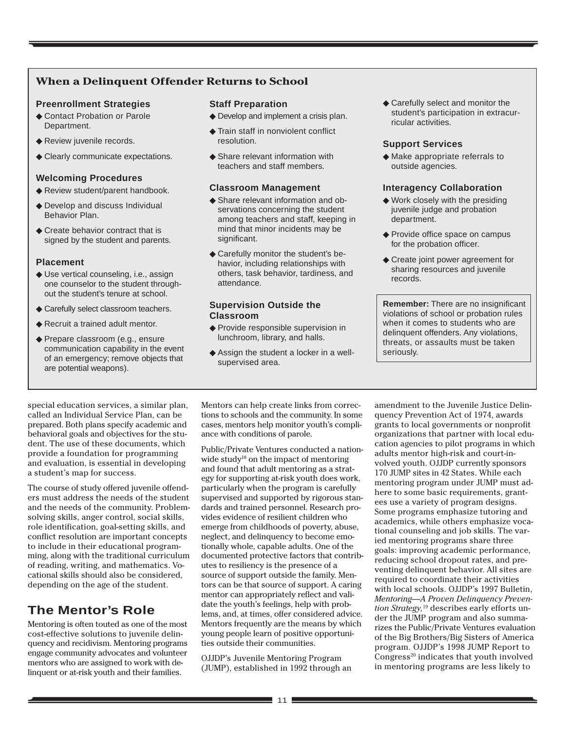### **When a Delinquent Offender Returns to School**

#### **Preenrollment Strategies**

- ◆ Contact Probation or Parole Department.
- ◆ Review juvenile records.
- ◆ Clearly communicate expectations.

#### **Welcoming Procedures**

- ◆ Review student/parent handbook.
- ◆ Develop and discuss Individual Behavior Plan.
- ◆ Create behavior contract that is signed by the student and parents.

#### **Placement**

- ◆ Use vertical counseling, i.e., assign one counselor to the student throughout the student's tenure at school.
- ◆ Carefully select classroom teachers.
- ◆ Recruit a trained adult mentor.
- ◆ Prepare classroom (e.g., ensure communication capability in the event of an emergency; remove objects that are potential weapons).

#### **Staff Preparation**

- ◆ Develop and implement a crisis plan.
- ◆ Train staff in nonviolent conflict resolution.
- ◆ Share relevant information with teachers and staff members.

#### **Classroom Management**

- ◆ Share relevant information and observations concerning the student among teachers and staff, keeping in mind that minor incidents may be significant.
- ◆ Carefully monitor the student's behavior, including relationships with others, task behavior, tardiness, and attendance.

#### **Supervision Outside the Classroom**

- ◆ Provide responsible supervision in lunchroom, library, and halls.
- ◆ Assign the student a locker in a wellsupervised area.

◆ Carefully select and monitor the student's participation in extracurricular activities.

#### **Support Services**

◆ Make appropriate referrals to outside agencies.

#### **Interagency Collaboration**

- ◆ Work closely with the presiding juvenile judge and probation department.
- ◆ Provide office space on campus for the probation officer.
- ◆ Create joint power agreement for sharing resources and juvenile records.

**Remember:** There are no insignificant violations of school or probation rules when it comes to students who are delinquent offenders. Any violations, threats, or assaults must be taken seriously.

special education services, a similar plan, called an Individual Service Plan, can be prepared. Both plans specify academic and behavioral goals and objectives for the student. The use of these documents, which provide a foundation for programming and evaluation, is essential in developing a student's map for success.

The course of study offered juvenile offenders must address the needs of the student and the needs of the community. Problemsolving skills, anger control, social skills, role identification, goal-setting skills, and conflict resolution are important concepts to include in their educational programming, along with the traditional curriculum of reading, writing, and mathematics. Vocational skills should also be considered, depending on the age of the student.

# **The Mentor's Role**

Mentoring is often touted as one of the most cost-effective solutions to juvenile delinquency and recidivism. Mentoring programs engage community advocates and volunteer mentors who are assigned to work with delinquent or at-risk youth and their families.

Mentors can help create links from corrections to schools and the community. In some cases, mentors help monitor youth's compliance with conditions of parole.

Public/Private Ventures conducted a nationwide study<sup>18</sup> on the impact of mentoring and found that adult mentoring as a strategy for supporting at-risk youth does work, particularly when the program is carefully supervised and supported by rigorous standards and trained personnel. Research provides evidence of resilient children who emerge from childhoods of poverty, abuse, neglect, and delinquency to become emotionally whole, capable adults. One of the documented protective factors that contributes to resiliency is the presence of a source of support outside the family. Mentors can be that source of support. A caring mentor can appropriately reflect and validate the youth's feelings, help with problems, and, at times, offer considered advice. Mentors frequently are the means by which young people learn of positive opportunities outside their communities.

OJJDP's Juvenile Mentoring Program (JUMP), established in 1992 through an amendment to the Juvenile Justice Delinquency Prevention Act of 1974, awards grants to local governments or nonprofit organizations that partner with local education agencies to pilot programs in which adults mentor high-risk and court-involved youth. OJJDP currently sponsors 170 JUMP sites in 42 States. While each mentoring program under JUMP must adhere to some basic requirements, grantees use a variety of program designs. Some programs emphasize tutoring and academics, while others emphasize vocational counseling and job skills. The varied mentoring programs share three goals: improving academic performance, reducing school dropout rates, and preventing delinquent behavior. All sites are required to coordinate their activities with local schools. OJJDP's 1997 Bulletin, *Mentoring—A Proven Delinquency Prevention Strategy,*19 describes early efforts under the JUMP program and also summarizes the Public/Private Ventures evaluation of the Big Brothers/Big Sisters of America program. OJJDP's 1998 JUMP Report to Congress $^{20}$  indicates that youth involved in mentoring programs are less likely to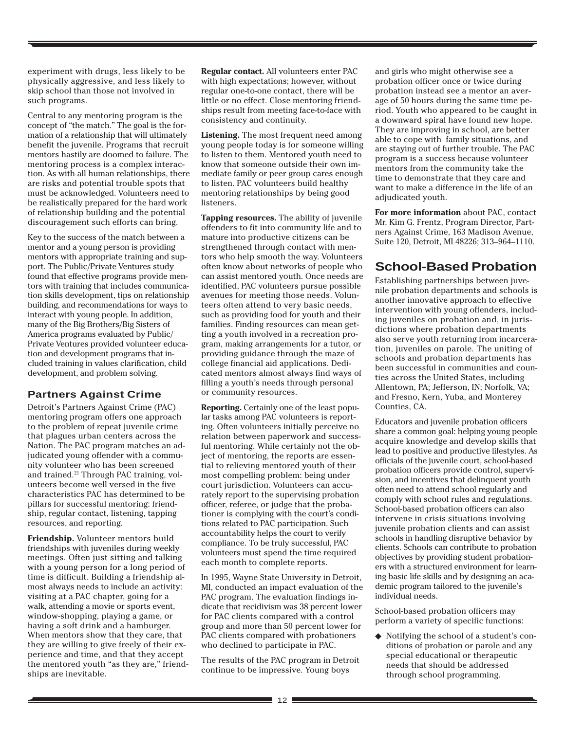experiment with drugs, less likely to be physically aggressive, and less likely to skip school than those not involved in such programs.

Central to any mentoring program is the concept of "the match." The goal is the formation of a relationship that will ultimately benefit the juvenile. Programs that recruit mentors hastily are doomed to failure. The mentoring process is a complex interaction. As with all human relationships, there are risks and potential trouble spots that must be acknowledged. Volunteers need to be realistically prepared for the hard work of relationship building and the potential discouragement such efforts can bring.

Key to the success of the match between a mentor and a young person is providing mentors with appropriate training and support. The Public/Private Ventures study found that effective programs provide mentors with training that includes communication skills development, tips on relationship building, and recommendations for ways to interact with young people. In addition, many of the Big Brothers/Big Sisters of America programs evaluated by Public/ Private Ventures provided volunteer education and development programs that included training in values clarification, child development, and problem solving.

#### **Partners Against Crime**

Detroit's Partners Against Crime (PAC) mentoring program offers one approach to the problem of repeat juvenile crime that plagues urban centers across the Nation. The PAC program matches an adjudicated young offender with a community volunteer who has been screened and trained.<sup>21</sup> Through PAC training, volunteers become well versed in the five characteristics PAC has determined to be pillars for successful mentoring: friendship, regular contact, listening, tapping resources, and reporting.

**Friendship.** Volunteer mentors build friendships with juveniles during weekly meetings. Often just sitting and talking with a young person for a long period of time is difficult. Building a friendship almost always needs to include an activity: visiting at a PAC chapter, going for a walk, attending a movie or sports event, window-shopping, playing a game, or having a soft drink and a hamburger. When mentors show that they care, that they are willing to give freely of their experience and time, and that they accept the mentored youth "as they are," friendships are inevitable.

**Regular contact.** All volunteers enter PAC with high expectations; however, without regular one-to-one contact, there will be little or no effect. Close mentoring friendships result from meeting face-to-face with consistency and continuity.

**Listening.** The most frequent need among young people today is for someone willing to listen to them. Mentored youth need to know that someone outside their own immediate family or peer group cares enough to listen. PAC volunteers build healthy mentoring relationships by being good listeners.

**Tapping resources.** The ability of juvenile offenders to fit into community life and to mature into productive citizens can be strengthened through contact with mentors who help smooth the way. Volunteers often know about networks of people who can assist mentored youth. Once needs are identified, PAC volunteers pursue possible avenues for meeting those needs. Volunteers often attend to very basic needs, such as providing food for youth and their families. Finding resources can mean getting a youth involved in a recreation program, making arrangements for a tutor, or providing guidance through the maze of college financial aid applications. Dedicated mentors almost always find ways of filling a youth's needs through personal or community resources.

**Reporting.** Certainly one of the least popular tasks among PAC volunteers is reporting. Often volunteers initially perceive no relation between paperwork and successful mentoring. While certainly not the object of mentoring, the reports are essential to relieving mentored youth of their most compelling problem: being under court jurisdiction. Volunteers can accurately report to the supervising probation officer, referee, or judge that the probationer is complying with the court's conditions related to PAC participation. Such accountability helps the court to verify compliance. To be truly successful, PAC volunteers must spend the time required each month to complete reports.

In 1995, Wayne State University in Detroit, MI, conducted an impact evaluation of the PAC program. The evaluation findings indicate that recidivism was 38 percent lower for PAC clients compared with a control group and more than 50 percent lower for PAC clients compared with probationers who declined to participate in PAC.

The results of the PAC program in Detroit continue to be impressive. Young boys

and girls who might otherwise see a probation officer once or twice during probation instead see a mentor an average of 50 hours during the same time period. Youth who appeared to be caught in a downward spiral have found new hope. They are improving in school, are better able to cope with family situations, and are staying out of further trouble. The PAC program is a success because volunteer mentors from the community take the time to demonstrate that they care and want to make a difference in the life of an adjudicated youth.

**For more information** about PAC, contact Mr. Kim G. Frentz, Program Director, Partners Against Crime, 163 Madison Avenue, Suite 120, Detroit, MI 48226; 313–964–1110.

# **School-Based Probation**

Establishing partnerships between juvenile probation departments and schools is another innovative approach to effective intervention with young offenders, including juveniles on probation and, in jurisdictions where probation departments also serve youth returning from incarceration, juveniles on parole. The uniting of schools and probation departments has been successful in communities and counties across the United States, including Allentown, PA; Jefferson, IN; Norfolk, VA; and Fresno, Kern, Yuba, and Monterey Counties, CA.

Educators and juvenile probation officers share a common goal: helping young people acquire knowledge and develop skills that lead to positive and productive lifestyles. As officials of the juvenile court, school-based probation officers provide control, supervision, and incentives that delinquent youth often need to attend school regularly and comply with school rules and regulations. School-based probation officers can also intervene in crisis situations involving juvenile probation clients and can assist schools in handling disruptive behavior by clients. Schools can contribute to probation objectives by providing student probationers with a structured environment for learning basic life skills and by designing an academic program tailored to the juvenile's individual needs.

School-based probation officers may perform a variety of specific functions:

◆ Notifying the school of a student's conditions of probation or parole and any special educational or therapeutic needs that should be addressed through school programming.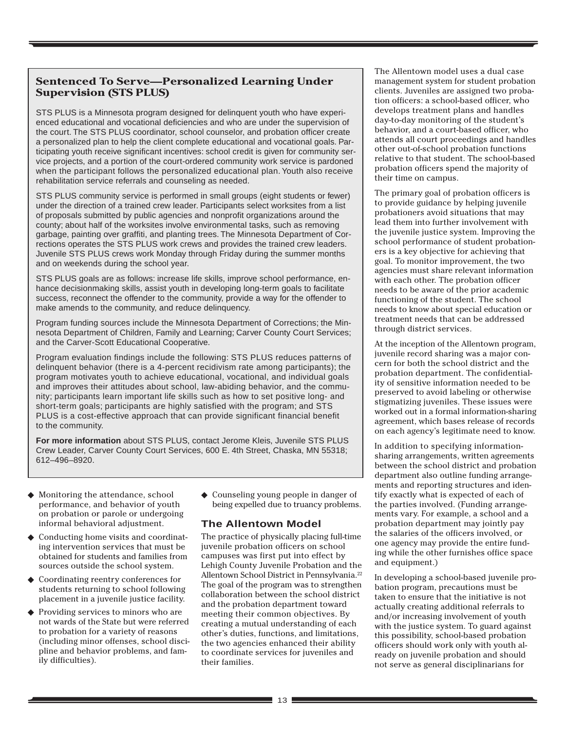### **Sentenced To Serve—Personalized Learning Under Supervision (STS PLUS)**

STS PLUS is a Minnesota program designed for delinquent youth who have experienced educational and vocational deficiencies and who are under the supervision of the court. The STS PLUS coordinator, school counselor, and probation officer create a personalized plan to help the client complete educational and vocational goals. Participating youth receive significant incentives: school credit is given for community service projects, and a portion of the court-ordered community work service is pardoned when the participant follows the personalized educational plan. Youth also receive rehabilitation service referrals and counseling as needed.

STS PLUS community service is performed in small groups (eight students or fewer) under the direction of a trained crew leader. Participants select worksites from a list of proposals submitted by public agencies and nonprofit organizations around the county; about half of the worksites involve environmental tasks, such as removing garbage, painting over graffiti, and planting trees. The Minnesota Department of Corrections operates the STS PLUS work crews and provides the trained crew leaders. Juvenile STS PLUS crews work Monday through Friday during the summer months and on weekends during the school year.

STS PLUS goals are as follows: increase life skills, improve school performance, enhance decisionmaking skills, assist youth in developing long-term goals to facilitate success, reconnect the offender to the community, provide a way for the offender to make amends to the community, and reduce delinquency.

Program funding sources include the Minnesota Department of Corrections; the Minnesota Department of Children, Family and Learning; Carver County Court Services; and the Carver-Scott Educational Cooperative.

Program evaluation findings include the following: STS PLUS reduces patterns of delinquent behavior (there is a 4-percent recidivism rate among participants); the program motivates youth to achieve educational, vocational, and individual goals and improves their attitudes about school, law-abiding behavior, and the community; participants learn important life skills such as how to set positive long- and short-term goals; participants are highly satisfied with the program; and STS PLUS is a cost-effective approach that can provide significant financial benefit to the community.

**For more information** about STS PLUS, contact Jerome Kleis, Juvenile STS PLUS Crew Leader, Carver County Court Services, 600 E. 4th Street, Chaska, MN 55318; 612–496–8920.

- ◆ Monitoring the attendance, school performance, and behavior of youth on probation or parole or undergoing informal behavioral adjustment.
- Conducting home visits and coordinating intervention services that must be obtained for students and families from sources outside the school system.
- ◆ Coordinating reentry conferences for students returning to school following placement in a juvenile justice facility.
- Providing services to minors who are not wards of the State but were referred to probation for a variety of reasons (including minor offenses, school discipline and behavior problems, and family difficulties).

◆ Counseling young people in danger of being expelled due to truancy problems.

#### **The Allentown Model**

The practice of physically placing full-time juvenile probation officers on school campuses was first put into effect by Lehigh County Juvenile Probation and the Allentown School District in Pennsylvania.<sup>22</sup> The goal of the program was to strengthen collaboration between the school district and the probation department toward meeting their common objectives. By creating a mutual understanding of each other's duties, functions, and limitations, the two agencies enhanced their ability to coordinate services for juveniles and their families.

The Allentown model uses a dual case management system for student probation clients. Juveniles are assigned two probation officers: a school-based officer, who develops treatment plans and handles day-to-day monitoring of the student's behavior, and a court-based officer, who attends all court proceedings and handles other out-of-school probation functions relative to that student. The school-based probation officers spend the majority of their time on campus.

The primary goal of probation officers is to provide guidance by helping juvenile probationers avoid situations that may lead them into further involvement with the juvenile justice system. Improving the school performance of student probationers is a key objective for achieving that goal. To monitor improvement, the two agencies must share relevant information with each other. The probation officer needs to be aware of the prior academic functioning of the student. The school needs to know about special education or treatment needs that can be addressed through district services.

At the inception of the Allentown program, juvenile record sharing was a major concern for both the school district and the probation department. The confidentiality of sensitive information needed to be preserved to avoid labeling or otherwise stigmatizing juveniles. These issues were worked out in a formal information-sharing agreement, which bases release of records on each agency's legitimate need to know.

In addition to specifying informationsharing arrangements, written agreements between the school district and probation department also outline funding arrangements and reporting structures and identify exactly what is expected of each of the parties involved. (Funding arrangements vary. For example, a school and a probation department may jointly pay the salaries of the officers involved, or one agency may provide the entire funding while the other furnishes office space and equipment.)

In developing a school-based juvenile probation program, precautions must be taken to ensure that the initiative is not actually creating additional referrals to and/or increasing involvement of youth with the justice system. To guard against this possibility, school-based probation officers should work only with youth already on juvenile probation and should not serve as general disciplinarians for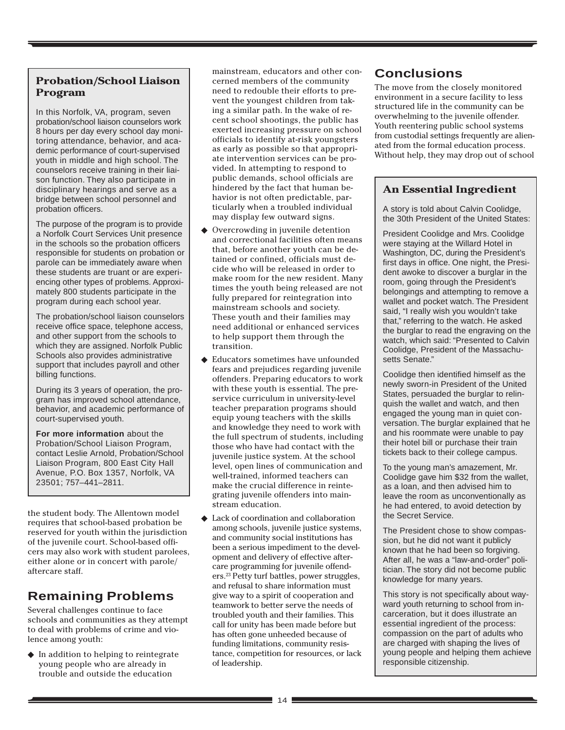### **Probation/School Liaison Program**

In this Norfolk, VA, program, seven probation/school liaison counselors work 8 hours per day every school day monitoring attendance, behavior, and academic performance of court-supervised youth in middle and high school. The counselors receive training in their liaison function. They also participate in disciplinary hearings and serve as a bridge between school personnel and probation officers.

The purpose of the program is to provide a Norfolk Court Services Unit presence in the schools so the probation officers responsible for students on probation or parole can be immediately aware when these students are truant or are experiencing other types of problems. Approximately 800 students participate in the program during each school year.

The probation/school liaison counselors receive office space, telephone access, and other support from the schools to which they are assigned. Norfolk Public Schools also provides administrative support that includes payroll and other billing functions.

During its 3 years of operation, the program has improved school attendance, behavior, and academic performance of court-supervised youth.

**For more information** about the Probation/School Liaison Program, contact Leslie Arnold, Probation/School Liaison Program, 800 East City Hall Avenue, P.O. Box 1357, Norfolk, VA 23501; 757–441–2811.

the student body. The Allentown model requires that school-based probation be reserved for youth within the jurisdiction of the juvenile court. School-based officers may also work with student parolees, either alone or in concert with parole/ aftercare staff.

# **Remaining Problems**

Several challenges continue to face schools and communities as they attempt to deal with problems of crime and violence among youth:

◆ In addition to helping to reintegrate young people who are already in trouble and outside the education

mainstream, educators and other concerned members of the community need to redouble their efforts to prevent the youngest children from taking a similar path. In the wake of recent school shootings, the public has exerted increasing pressure on school officials to identify at-risk youngsters as early as possible so that appropriate intervention services can be provided. In attempting to respond to public demands, school officials are hindered by the fact that human behavior is not often predictable, particularly when a troubled individual may display few outward signs.

- ◆ Overcrowding in juvenile detention and correctional facilities often means that, before another youth can be detained or confined, officials must decide who will be released in order to make room for the new resident. Many times the youth being released are not fully prepared for reintegration into mainstream schools and society. These youth and their families may need additional or enhanced services to help support them through the transition.
- Educators sometimes have unfounded fears and prejudices regarding juvenile offenders. Preparing educators to work with these youth is essential. The preservice curriculum in university-level teacher preparation programs should equip young teachers with the skills and knowledge they need to work with the full spectrum of students, including those who have had contact with the juvenile justice system. At the school level, open lines of communication and well-trained, informed teachers can make the crucial difference in reintegrating juvenile offenders into mainstream education.
- ◆ Lack of coordination and collaboration among schools, juvenile justice systems, and community social institutions has been a serious impediment to the development and delivery of effective aftercare programming for juvenile offenders.23 Petty turf battles, power struggles, and refusal to share information must give way to a spirit of cooperation and teamwork to better serve the needs of troubled youth and their families. This call for unity has been made before but has often gone unheeded because of funding limitations, community resistance, competition for resources, or lack of leadership.

# **Conclusions**

The move from the closely monitored environment in a secure facility to less structured life in the community can be overwhelming to the juvenile offender. Youth reentering public school systems from custodial settings frequently are alienated from the formal education process. Without help, they may drop out of school

# **An Essential Ingredient**

A story is told about Calvin Coolidge, the 30th President of the United States:

President Coolidge and Mrs. Coolidge were staying at the Willard Hotel in Washington, DC, during the President's first days in office. One night, the President awoke to discover a burglar in the room, going through the President's belongings and attempting to remove a wallet and pocket watch. The President said, "I really wish you wouldn't take that," referring to the watch. He asked the burglar to read the engraving on the watch, which said: "Presented to Calvin Coolidge, President of the Massachusetts Senate."

Coolidge then identified himself as the newly sworn-in President of the United States, persuaded the burglar to relinquish the wallet and watch, and then engaged the young man in quiet conversation. The burglar explained that he and his roommate were unable to pay their hotel bill or purchase their train tickets back to their college campus.

To the young man's amazement, Mr. Coolidge gave him \$32 from the wallet, as a loan, and then advised him to leave the room as unconventionally as he had entered, to avoid detection by the Secret Service.

The President chose to show compassion, but he did not want it publicly known that he had been so forgiving. After all, he was a "law-and-order" politician. The story did not become public knowledge for many years.

This story is not specifically about wayward youth returning to school from incarceration, but it does illustrate an essential ingredient of the process: compassion on the part of adults who are charged with shaping the lives of young people and helping them achieve responsible citizenship.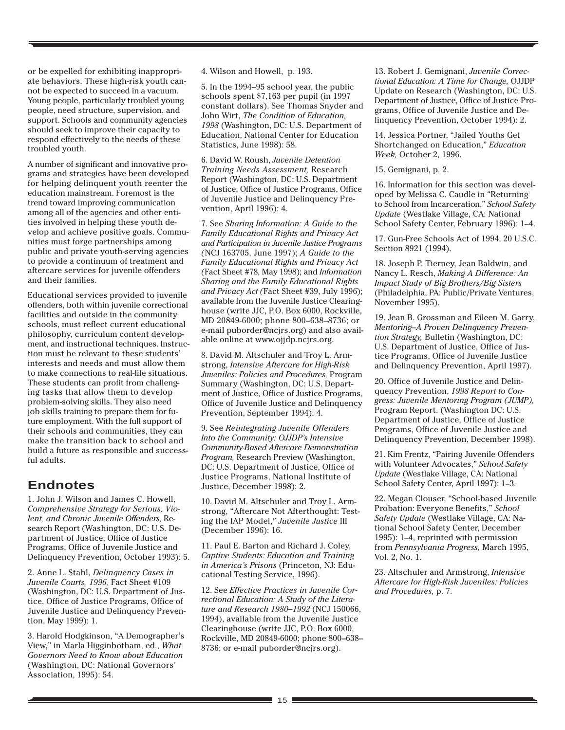or be expelled for exhibiting inappropriate behaviors. These high-risk youth cannot be expected to succeed in a vacuum. Young people, particularly troubled young people, need structure, supervision, and support. Schools and community agencies should seek to improve their capacity to respond effectively to the needs of these troubled youth.

A number of significant and innovative programs and strategies have been developed for helping delinquent youth reenter the education mainstream. Foremost is the trend toward improving communication among all of the agencies and other entities involved in helping these youth develop and achieve positive goals. Communities must forge partnerships among public and private youth-serving agencies to provide a continuum of treatment and aftercare services for juvenile offenders and their families.

Educational services provided to juvenile offenders, both within juvenile correctional facilities and outside in the community schools, must reflect current educational philosophy, curriculum content development, and instructional techniques. Instruction must be relevant to these students' interests and needs and must allow them to make connections to real-life situations. These students can profit from challenging tasks that allow them to develop problem-solving skills. They also need job skills training to prepare them for future employment. With the full support of their schools and communities, they can make the transition back to school and build a future as responsible and successful adults.

# **Endnotes**

1. John J. Wilson and James C. Howell, *Comprehensive Strategy for Serious, Violent, and Chronic Juvenile Offenders,* Research Report (Washington, DC: U.S. Department of Justice, Office of Justice Programs, Office of Juvenile Justice and Delinquency Prevention, October 1993): 5.

2. Anne L. Stahl, *Delinquency Cases in Juvenile Courts, 1996,* Fact Sheet #109 (Washington, DC: U.S. Department of Justice, Office of Justice Programs, Office of Juvenile Justice and Delinquency Prevention, May 1999): 1.

3. Harold Hodgkinson, "A Demographer's View," in Marla Higginbotham, ed., *What Governors Need to Know about Education* (Washington, DC: National Governors' Association, 1995): 54.

4. Wilson and Howell, p. 193.

5. In the 1994–95 school year, the public schools spent \$7,163 per pupil (in 1997 constant dollars). See Thomas Snyder and John Wirt, *The Condition of Education, 1998* (Washington, DC: U.S. Department of Education, National Center for Education Statistics, June 1998): 58.

6. David W. Roush, *Juvenile Detention Training Needs Assessment,* Research Report (Washington, DC: U.S. Department of Justice, Office of Justice Programs, Office of Juvenile Justice and Delinquency Prevention, April 1996): 4.

7. See *Sharing Information: A Guide to the Family Educational Rights and Privacy Act and Participation in Juvenile Justice Programs (*NCJ 163705, June 1997); *A Guide to the Family Educational Rights and Privacy Act (*Fact Sheet #78, May 1998); and *Information Sharing and the Family Educational Rights and Privacy Act (*Fact Sheet #39, July 1996); available from the Juvenile Justice Clearinghouse (write JJC, P.O. Box 6000, Rockville, MD 20849-6000; phone 800–638–8736; or e-mail puborder@ncjrs.org) and also available online at www.ojjdp.ncjrs.org.

8. David M. Altschuler and Troy L. Armstrong, *Intensive Aftercare for High-Risk Juveniles: Policies and Procedures,* Program Summary (Washington, DC: U.S. Department of Justice, Office of Justice Programs, Office of Juvenile Justice and Delinquency Prevention, September 1994): 4.

9. See *Reintegrating Juvenile Offenders Into the Community: OJJDP's Intensive Community-Based Aftercare Demonstration Program,* Research Preview (Washington, DC: U.S. Department of Justice, Office of Justice Programs, National Institute of Justice, December 1998): 2.

10. David M. Altschuler and Troy L. Armstrong, "Aftercare Not Afterthought: Testing the IAP Model," *Juvenile Justice* III (December 1996): 16.

11. Paul E. Barton and Richard J. Coley, *Captive Students: Education and Training in America's Prisons* (Princeton, NJ: Educational Testing Service, 1996).

12. See *Effective Practices in Juvenile Correctional Education: A Study of the Literature and Research 1980–1992* (NCJ 150066, 1994), available from the Juvenile Justice Clearinghouse (write JJC, P.O. Box 6000, Rockville, MD 20849-6000; phone 800–638– 8736; or e-mail puborder@ncjrs.org).

13. Robert J. Gemignani, *Juvenile Correctional Education: A Time for Change,* OJJDP Update on Research (Washington, DC: U.S. Department of Justice, Office of Justice Programs, Office of Juvenile Justice and Delinquency Prevention, October 1994): 2.

14. Jessica Portner, "Jailed Youths Get Shortchanged on Education," *Education Week,* October 2, 1996.

15. Gemignani, p. 2.

16. Information for this section was developed by Melissa C. Caudle in "Returning to School from Incarceration," *School Safety Update* (Westlake Village, CA: National School Safety Center, February 1996): 1–4.

17. Gun-Free Schools Act of 1994, 20 U.S.C. Section 8921 (1994).

18. Joseph P. Tierney, Jean Baldwin, and Nancy L. Resch, *Making A Difference: An Impact Study of Big Brothers/Big Sisters* (Philadelphia, PA: Public/Private Ventures, November 1995).

19. Jean B. Grossman and Eileen M. Garry, *Mentoring–A Proven Delinquency Prevention Strategy,* Bulletin (Washington, DC: U.S. Department of Justice, Office of Justice Programs, Office of Juvenile Justice and Delinquency Prevention, April 1997).

20. Office of Juvenile Justice and Delinquency Prevention, *1998 Report to Congress: Juvenile Mentoring Program (JUMP),* Program Report. (Washington DC: U.S. Department of Justice, Office of Justice Programs, Office of Juvenile Justice and Delinquency Prevention, December 1998).

21. Kim Frentz, "Pairing Juvenile Offenders with Volunteer Advocates," *School Safety Update* (Westlake Village, CA: National School Safety Center, April 1997): 1–3.

22. Megan Clouser, "School-based Juvenile Probation: Everyone Benefits," *School Safety Update* (Westlake Village, CA: National School Safety Center, December 1995): 1–4, reprinted with permission from *Pennsylvania Progress,* March 1995, Vol. 2, No. 1.

23. Altschuler and Armstrong, *Intensive Aftercare for High-Risk Juveniles: Policies and Procedures,* p. 7.